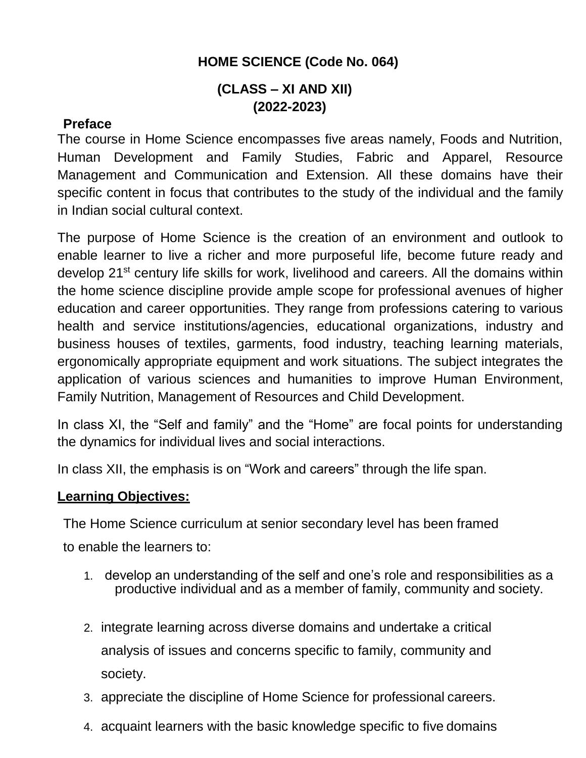## **HOME SCIENCE (Code No. 064)**

## **(CLASS – XI AND XII) (2022-2023)**

## **Preface**

The course in Home Science encompasses five areas namely, Foods and Nutrition, Human Development and Family Studies, Fabric and Apparel, Resource Management and Communication and Extension. All these domains have their specific content in focus that contributes to the study of the individual and the family in Indian social cultural context.

The purpose of Home Science is the creation of an environment and outlook to enable learner to live a richer and more purposeful life, become future ready and develop 21<sup>st</sup> century life skills for work, livelihood and careers. All the domains within the home science discipline provide ample scope for professional avenues of higher education and career opportunities. They range from professions catering to various health and service institutions/agencies, educational organizations, industry and business houses of textiles, garments, food industry, teaching learning materials, ergonomically appropriate equipment and work situations. The subject integrates the application of various sciences and humanities to improve Human Environment, Family Nutrition, Management of Resources and Child Development.

In class XI, the "Self and family" and the "Home" are focal points for understanding the dynamics for individual lives and social interactions.

In class XII, the emphasis is on "Work and careers" through the life span.

## **Learning Objectives:**

The Home Science curriculum at senior secondary level has been framed to enable the learners to:

- 1. develop an understanding of the self and one's role and responsibilities as a productive individual and as a member of family, community and society.
- 2. integrate learning across diverse domains and undertake a critical analysis of issues and concerns specific to family, community and society.
- 3. appreciate the discipline of Home Science for professional careers.
- 4. acquaint learners with the basic knowledge specific to five domains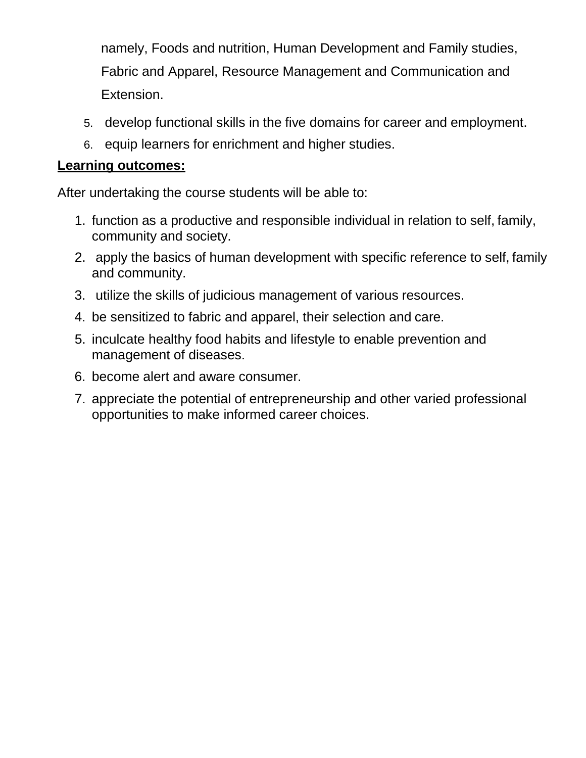namely, Foods and nutrition, Human Development and Family studies, Fabric and Apparel, Resource Management and Communication and Extension.

- 5. develop functional skills in the five domains for career and employment.
- 6. equip learners for enrichment and higher studies.

## **Learning outcomes:**

After undertaking the course students will be able to:

- 1. function as a productive and responsible individual in relation to self, family, community and society.
- 2. apply the basics of human development with specific reference to self, family and community.
- 3. utilize the skills of judicious management of various resources.
- 4. be sensitized to fabric and apparel, their selection and care.
- 5. inculcate healthy food habits and lifestyle to enable prevention and management of diseases.
- 6. become alert and aware consumer.
- 7. appreciate the potential of entrepreneurship and other varied professional opportunities to make informed career choices.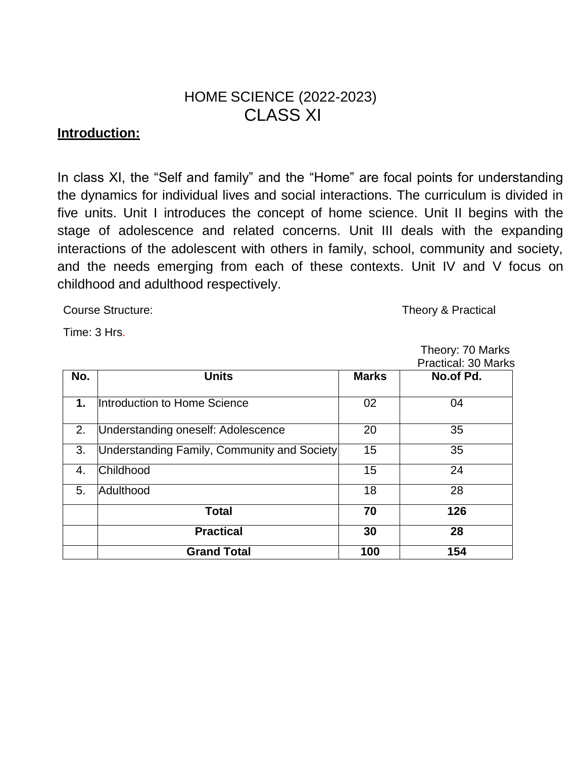# HOME SCIENCE (2022-2023) CLASS XI

## **Introduction:**

In class XI, the "Self and family" and the "Home" are focal points for understanding the dynamics for individual lives and social interactions. The curriculum is divided in five units. Unit I introduces the concept of home science. Unit II begins with the stage of adolescence and related concerns. Unit III deals with the expanding interactions of the adolescent with others in family, school, community and society, and the needs emerging from each of these contexts. Unit IV and V focus on childhood and adulthood respectively.

Course Structure: Theory & Practical

Theory: 70 Marks

Time: 3 Hrs.

|     |                                             | <b>Practical: 30 Marks</b> |           |  |
|-----|---------------------------------------------|----------------------------|-----------|--|
| No. | <b>Units</b>                                | <b>Marks</b>               | No.of Pd. |  |
| 1.  | Introduction to Home Science                | 02                         | 04        |  |
| 2.  | Understanding oneself: Adolescence          | 20                         | 35        |  |
| 3.  | Understanding Family, Community and Society | 15                         | 35        |  |
| 4.  | Childhood                                   | 15                         | 24        |  |
| 5.  | Adulthood                                   | 18                         | 28        |  |
|     | <b>Total</b>                                | 70                         | 126       |  |
|     | <b>Practical</b>                            | 30                         | 28        |  |
|     | <b>Grand Total</b>                          | 100                        | 154       |  |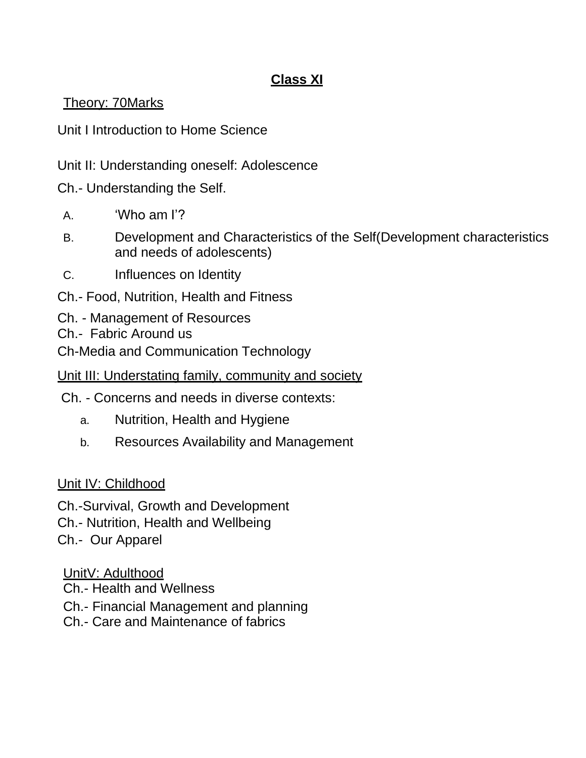# **Class XI**

Theory: 70Marks

Unit I Introduction to Home Science

Unit II: Understanding oneself: Adolescence

Ch.- Understanding the Self.

- A. 'Who am I'?
- B. Development and Characteristics of the Self(Development characteristics and needs of adolescents)
- C. Influences on Identity
- Ch.- Food, Nutrition, Health and Fitness
- Ch. Management of Resources
- Ch.- Fabric Around us

Ch-Media and Communication Technology

Unit III: Understating family, community and society

- Ch. Concerns and needs in diverse contexts:
	- a. Nutrition, Health and Hygiene
	- b. Resources Availability and Management

## Unit IV: Childhood

Ch.-Survival, Growth and Development

Ch.- Nutrition, Health and Wellbeing

Ch.- Our Apparel

UnitV: Adulthood

- Ch.- Health and Wellness
- Ch.- Financial Management and planning
- Ch.- Care and Maintenance of fabrics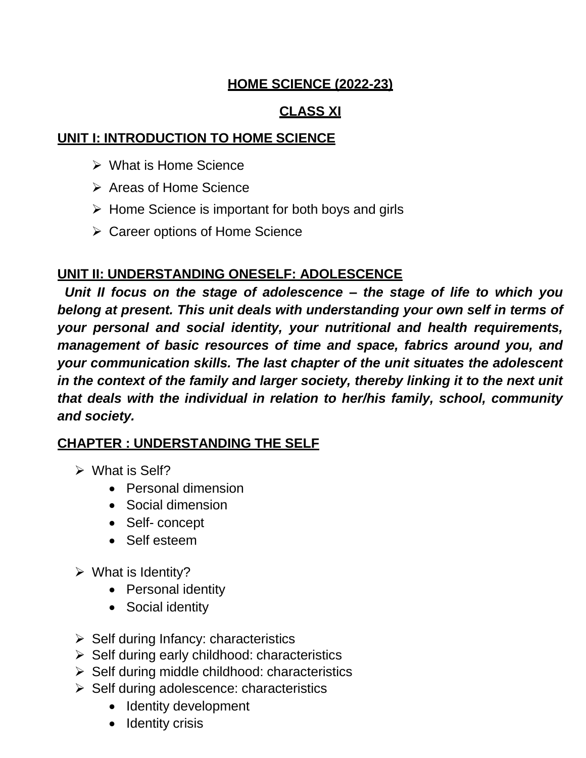## **HOME SCIENCE (2022-23)**

## **CLASS XI**

## **UNIT I: INTRODUCTION TO HOME SCIENCE**

- What is Home Science
- **▶ Areas of Home Science**
- $\triangleright$  Home Science is important for both boys and girls
- **≻ Career options of Home Science**

# **UNIT II: UNDERSTANDING ONESELF: ADOLESCENCE**

*Unit II focus on the stage of adolescence – the stage of life to which you belong at present. This unit deals with understanding your own self in terms of your personal and social identity, your nutritional and health requirements, management of basic resources of time and space, fabrics around you, and your communication skills. The last chapter of the unit situates the adolescent in the context of the family and larger society, thereby linking it to the next unit that deals with the individual in relation to her/his family, school, community and society.*

# **CHAPTER : UNDERSTANDING THE SELF**

- $\triangleright$  What is Self?
	- Personal dimension
	- Social dimension
	- Self- concept
	- Self esteem
- $\triangleright$  What is Identity?
	- Personal identity
	- Social identity
- $\triangleright$  Self during Infancy: characteristics
- $\triangleright$  Self during early childhood: characteristics
- $\triangleright$  Self during middle childhood: characteristics
- $\triangleright$  Self during adolescence: characteristics
	- Identity development
	- Identity crisis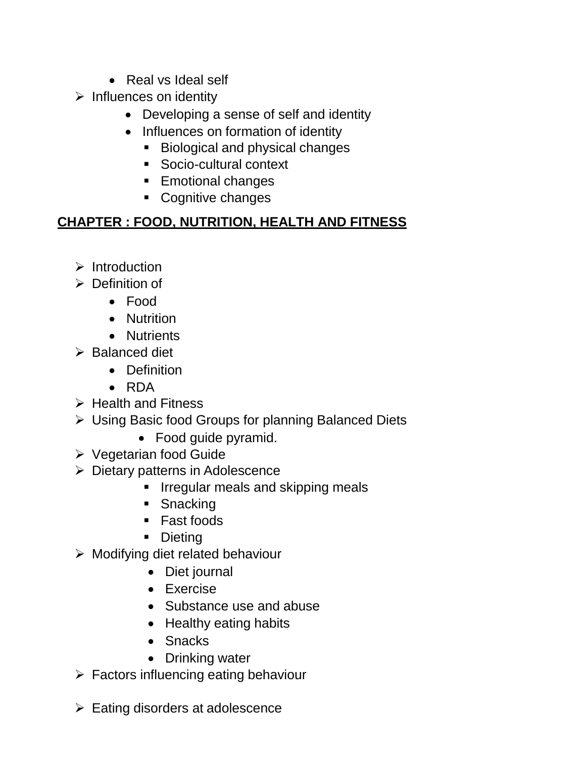- Real vs Ideal self
- $\triangleright$  Influences on identity
	- Developing a sense of self and identity
	- Influences on formation of identity
		- **Biological and physical changes**
		- Socio-cultural context
		- **Emotional changes**
		- Cognitive changes

## **CHAPTER : FOOD, NUTRITION, HEALTH AND FITNESS**

- $\triangleright$  Introduction
- $\triangleright$  Definition of
	- Food
	- Nutrition
	- Nutrients
- $\triangleright$  Balanced diet
	- Definition
	- RDA
- $\triangleright$  Health and Fitness
- Using Basic food Groups for planning Balanced Diets
	- Food quide pyramid.
- Vegetarian food Guide
- $\triangleright$  Dietary patterns in Adolescence
	- **I** Irregular meals and skipping meals
	- Snacking
	- Fast foods
	- Dieting
- $\triangleright$  Modifying diet related behaviour
	- Diet journal
	- Exercise
	- Substance use and abuse
	- Healthy eating habits
	- Snacks
	- Drinking water
- $\triangleright$  Factors influencing eating behaviour
- $\triangleright$  Eating disorders at adolescence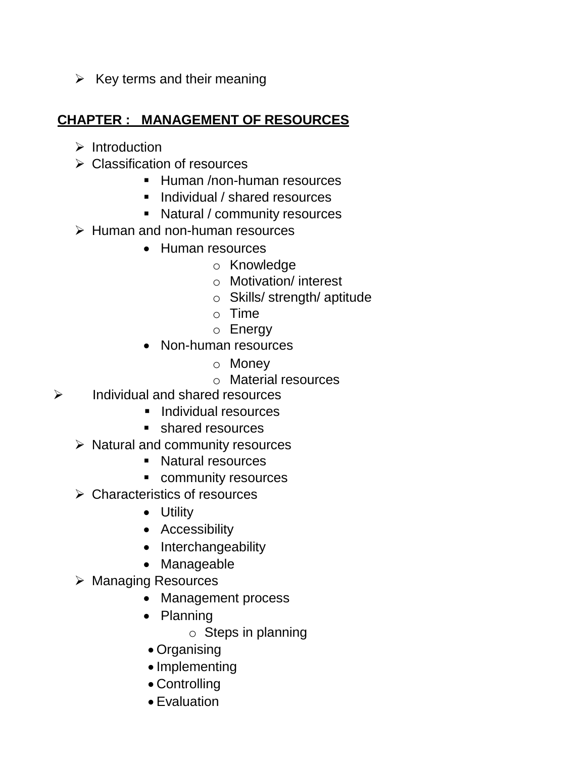$\triangleright$  Key terms and their meaning

## **CHAPTER : MANAGEMENT OF RESOURCES**

- $\triangleright$  Introduction
- Classification of resources
	- **Human /non-human resources**
	- **Individual / shared resources**
	- Natural / community resources
- $\triangleright$  Human and non-human resources
	- Human resources
		- o Knowledge
		- o Motivation/ interest
		- o Skills/ strength/ aptitude
		- o Time
		- o Energy
	- Non-human resources
		- o Money
		- o Material resources
- $\triangleright$  Individual and shared resources
	- **Individual resources**
	- **shared resources**
	- $\triangleright$  Natural and community resources
		- **Natural resources**
		- **•** community resources
	- Characteristics of resources
		- Utility
		- Accessibility
		- Interchangeability
		- Manageable
	- ▶ Managing Resources
		- Management process
		- Planning
			- o Steps in planning
		- Organising
		- Implementing
		- Controlling
		- Evaluation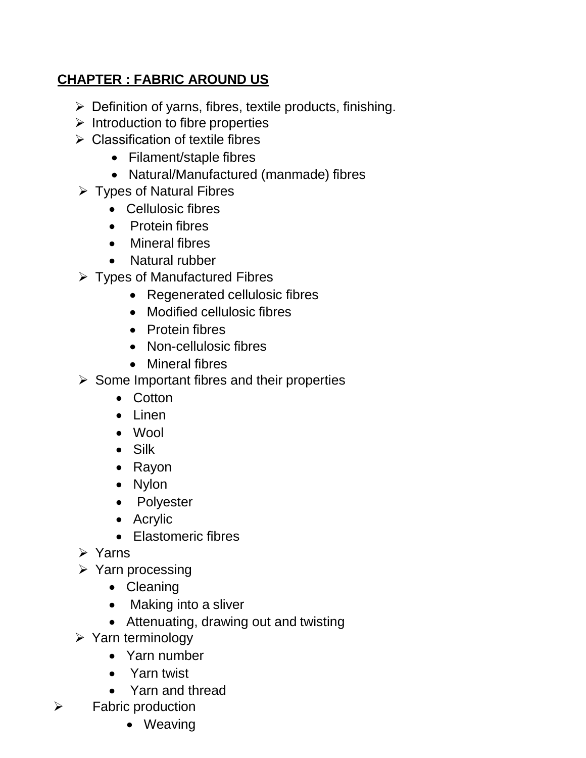## **CHAPTER : FABRIC AROUND US**

- $\triangleright$  Definition of yarns, fibres, textile products, finishing.
- $\triangleright$  Introduction to fibre properties
- $\triangleright$  Classification of textile fibres
	- Filament/staple fibres
	- Natural/Manufactured (manmade) fibres
- $\triangleright$  Types of Natural Fibres
	- Cellulosic fibres
	- Protein fibres
	- Mineral fibres
	- Natural rubber
- $\triangleright$  Types of Manufactured Fibres
	- Regenerated cellulosic fibres
	- Modified cellulosic fibres
	- Protein fibres
	- Non-cellulosic fibres
	- Mineral fibres
- $\triangleright$  Some Important fibres and their properties
	- Cotton
	- Linen
	- Wool
	- Silk
	- Rayon
	- Nylon
	- Polyester
	- Acrylic
	- Elastomeric fibres
- Yarns
- $\triangleright$  Yarn processing
	- Cleaning
	- Making into a sliver
	- Attenuating, drawing out and twisting
- $\triangleright$  Yarn terminology
	- Yarn number
	- Yarn twist
	- Yarn and thread
- $\triangleright$  Fabric production
	- Weaving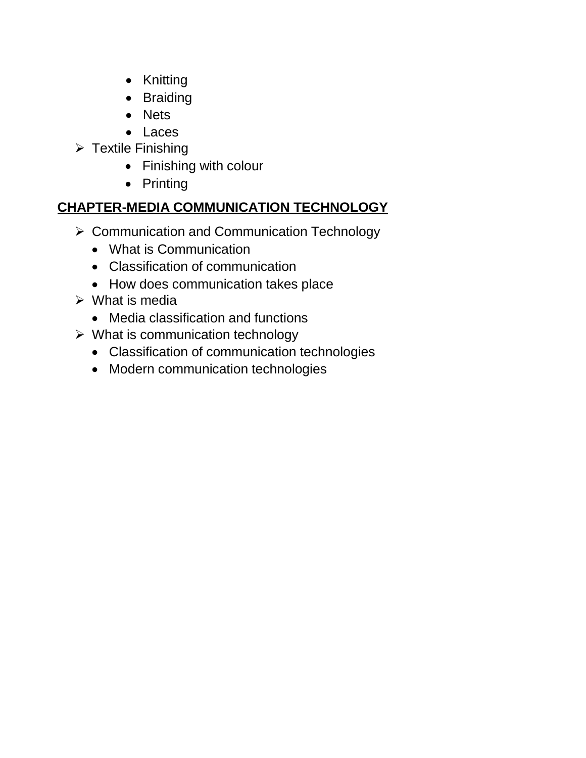- Knitting
- Braiding
- Nets
- Laces
- $\triangleright$  Textile Finishing
	- Finishing with colour
	- Printing

# **CHAPTER-MEDIA COMMUNICATION TECHNOLOGY**

- $\triangleright$  Communication and Communication Technology
	- What is Communication
	- Classification of communication
	- How does communication takes place
- $\triangleright$  What is media
	- Media classification and functions
- $\triangleright$  What is communication technology
	- Classification of communication technologies
	- Modern communication technologies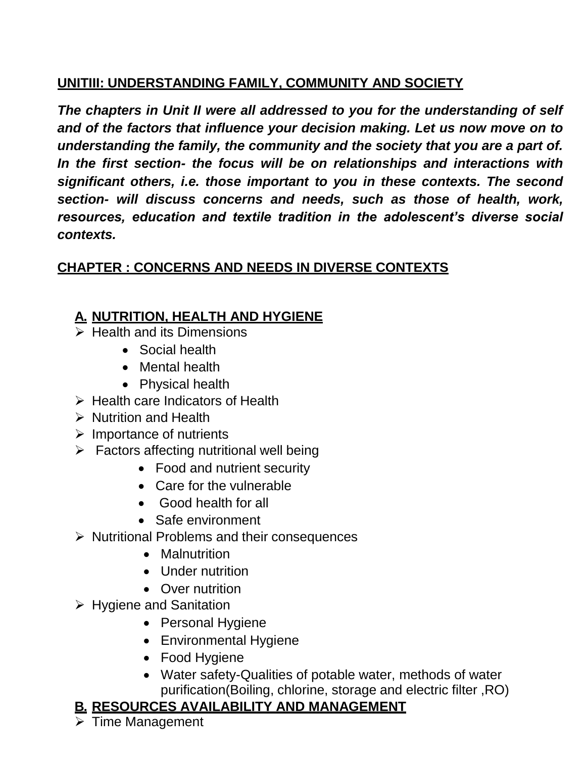## **UNITIII: UNDERSTANDING FAMILY, COMMUNITY AND SOCIETY**

*The chapters in Unit II were all addressed to you for the understanding of self and of the factors that influence your decision making. Let us now move on to understanding the family, the community and the society that you are a part of. In the first section- the focus will be on relationships and interactions with significant others, i.e. those important to you in these contexts. The second section- will discuss concerns and needs, such as those of health, work, resources, education and textile tradition in the adolescent's diverse social contexts.*

# **CHAPTER : CONCERNS AND NEEDS IN DIVERSE CONTEXTS**

# **A. NUTRITION, HEALTH AND HYGIENE**

- $\triangleright$  Health and its Dimensions
	- Social health
	- Mental health
	- Physical health
- $\triangleright$  Health care Indicators of Health
- $\triangleright$  Nutrition and Health
- $\triangleright$  Importance of nutrients
- $\triangleright$  Factors affecting nutritional well being
	- Food and nutrient security
	- Care for the vulnerable
	- Good health for all
	- Safe environment
- $\triangleright$  Nutritional Problems and their consequences
	- Malnutrition
	- Under nutrition
	- Over nutrition
- $\triangleright$  Hygiene and Sanitation
	- Personal Hygiene
	- Environmental Hygiene
	- Food Hygiene
	- Water safety-Qualities of potable water, methods of water purification(Boiling, chlorine, storage and electric filter ,RO)

# **B. RESOURCES AVAILABILITY AND MANAGEMENT**

 $\triangleright$  Time Management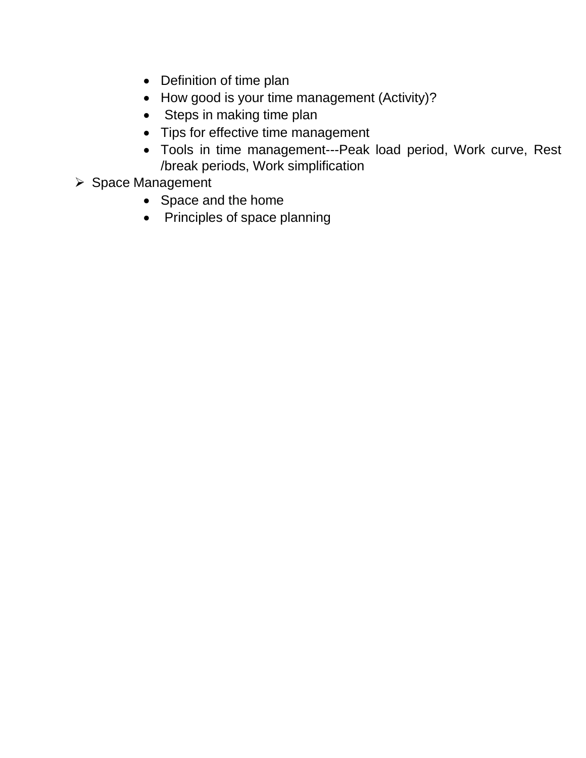- Definition of time plan
- How good is your time management (Activity)?
- Steps in making time plan
- Tips for effective time management
- Tools in time management---Peak load period, Work curve, Rest /break periods, Work simplification
- ▶ Space Management
	- Space and the home
	- Principles of space planning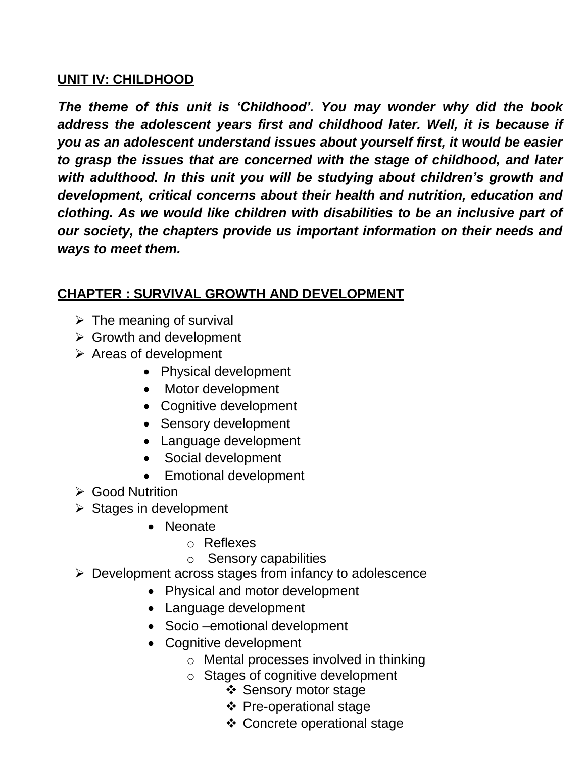## **UNIT IV: CHILDHOOD**

*The theme of this unit is 'Childhood'. You may wonder why did the book address the adolescent years first and childhood later. Well, it is because if you as an adolescent understand issues about yourself first, it would be easier to grasp the issues that are concerned with the stage of childhood, and later with adulthood. In this unit you will be studying about children's growth and development, critical concerns about their health and nutrition, education and clothing. As we would like children with disabilities to be an inclusive part of our society, the chapters provide us important information on their needs and ways to meet them.*

## **CHAPTER : SURVIVAL GROWTH AND DEVELOPMENT**

- $\triangleright$  The meaning of survival
- $\triangleright$  Growth and development
- $\triangleright$  Areas of development
	- Physical development
	- Motor development
	- Cognitive development
	- Sensory development
	- Language development
	- Social development
	- Emotional development
- **► Good Nutrition**
- $\triangleright$  Stages in development
	- Neonate
		- o Reflexes
		- o Sensory capabilities
- $\triangleright$  Development across stages from infancy to adolescence
	- Physical and motor development
	- Language development
	- Socio –emotional development
	- Cognitive development
		- o Mental processes involved in thinking
		- o Stages of cognitive development
			- ❖ Sensory motor stage
			- ❖ Pre-operational stage
			- Concrete operational stage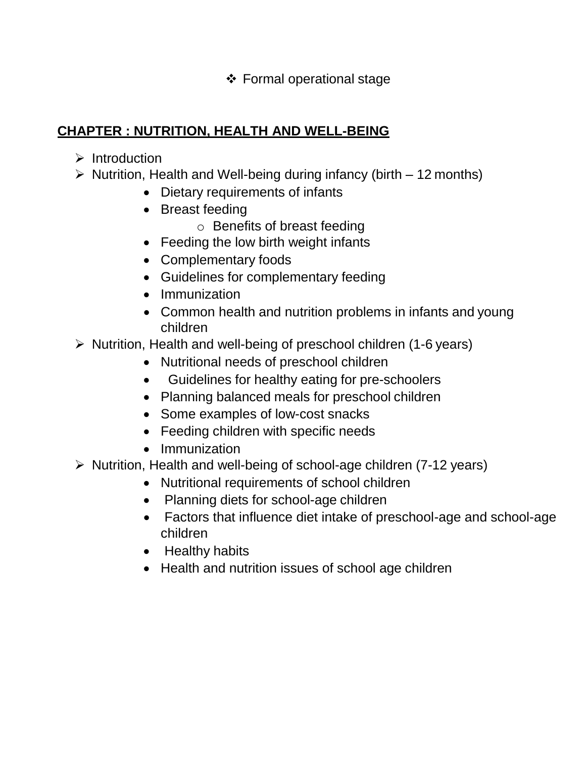Formal operational stage

## **CHAPTER : NUTRITION, HEALTH AND WELL-BEING**

- $\triangleright$  Introduction
- $\triangleright$  Nutrition, Health and Well-being during infancy (birth 12 months)
	- Dietary requirements of infants
	- Breast feeding
		- o Benefits of breast feeding
	- Feeding the low birth weight infants
	- Complementary foods
	- Guidelines for complementary feeding
	- Immunization
	- Common health and nutrition problems in infants and young children
- $\triangleright$  Nutrition, Health and well-being of preschool children (1-6 years)
	- Nutritional needs of preschool children
	- Guidelines for healthy eating for pre-schoolers
	- Planning balanced meals for preschool children
	- Some examples of low-cost snacks
	- Feeding children with specific needs
	- Immunization
- $\triangleright$  Nutrition, Health and well-being of school-age children (7-12 years)
	- Nutritional requirements of school children
	- Planning diets for school-age children
	- Factors that influence diet intake of preschool-age and school-age children
	- Healthy habits
	- Health and nutrition issues of school age children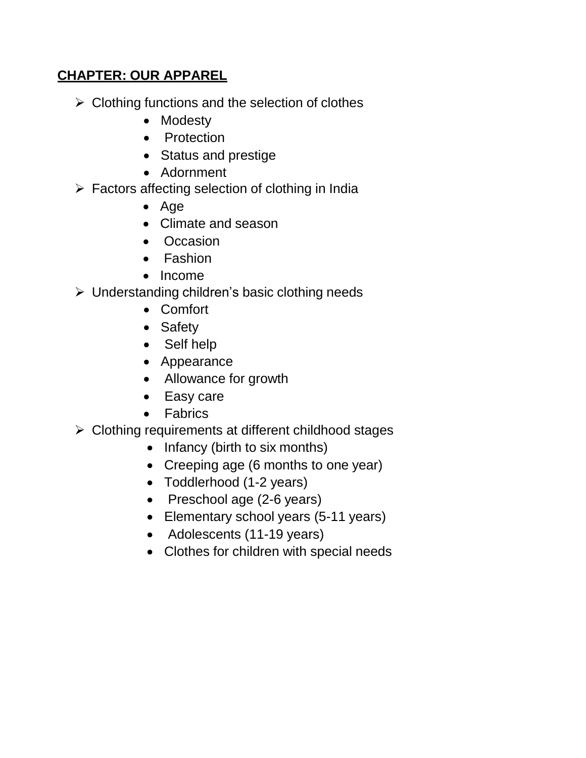## **CHAPTER: OUR APPAREL**

- $\triangleright$  Clothing functions and the selection of clothes
	- Modesty
	- Protection
	- Status and prestige
	- Adornment
- $\triangleright$  Factors affecting selection of clothing in India
	- Age
	- Climate and season
	- Occasion
	- Fashion
	- Income
- $\triangleright$  Understanding children's basic clothing needs
	- Comfort
	- Safety
	- Self help
	- Appearance
	- Allowance for growth
	- Easy care
	- Fabrics
- $\triangleright$  Clothing requirements at different childhood stages
	- Infancy (birth to six months)
	- Creeping age (6 months to one year)
	- Toddlerhood (1-2 years)
	- Preschool age (2-6 years)
	- Elementary school years (5-11 years)
	- Adolescents (11-19 years)
	- Clothes for children with special needs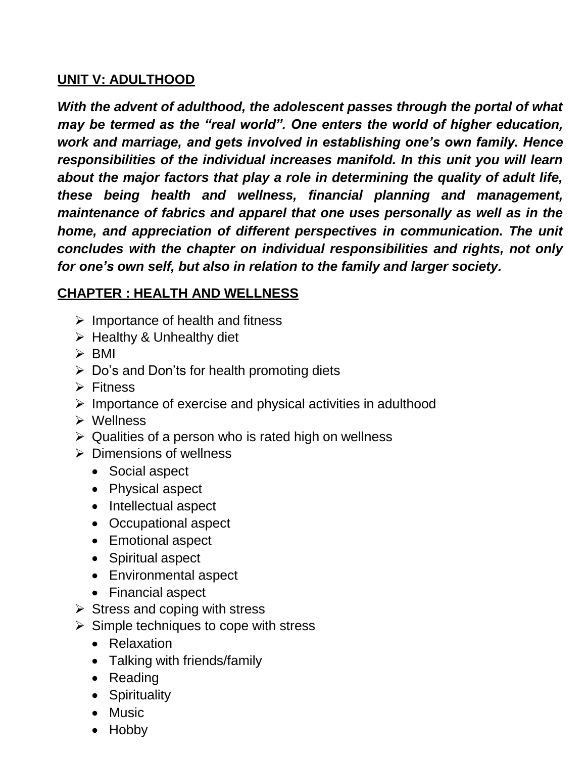## **UNIT V: ADULTHOOD**

*With the advent of adulthood, the adolescent passes through the portal of what may be termed as the "real world". One enters the world of higher education, work and marriage, and gets involved in establishing one's own family. Hence responsibilities of the individual increases manifold. In this unit you will learn about the major factors that play a role in determining the quality of adult life, these being health and wellness, financial planning and management, maintenance of fabrics and apparel that one uses personally as well as in the home, and appreciation of different perspectives in communication. The unit concludes with the chapter on individual responsibilities and rights, not only for one's own self, but also in relation to the family and larger society.*

## **CHAPTER : HEALTH AND WELLNESS**

- $\triangleright$  Importance of health and fitness
- $\triangleright$  Healthy & Unhealthy diet
- $\triangleright$  BMI
- $\triangleright$  Do's and Don'ts for health promoting diets
- $\triangleright$  Fitness
- $\triangleright$  Importance of exercise and physical activities in adulthood
- Wellness
- $\triangleright$  Qualities of a person who is rated high on wellness
- $\triangleright$  Dimensions of wellness
	- Social aspect
	- Physical aspect
	- Intellectual aspect
	- Occupational aspect
	- Emotional aspect
	- Spiritual aspect
	- Environmental aspect
	- Financial aspect
- $\triangleright$  Stress and coping with stress
- $\triangleright$  Simple techniques to cope with stress
	- Relaxation
	- Talking with friends/family
	- Reading
	- Spirituality
	- Music
	- Hobby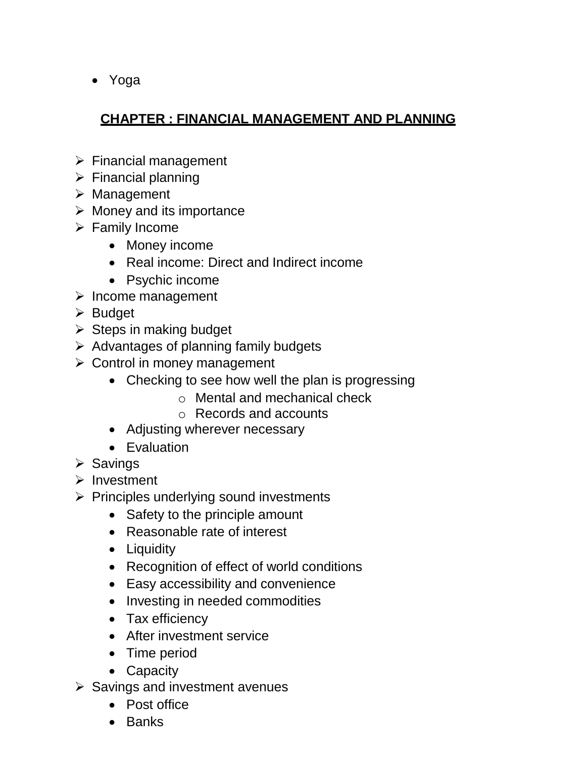Yoga

# **CHAPTER : FINANCIAL MANAGEMENT AND PLANNING**

- $\triangleright$  Financial management
- $\triangleright$  Financial planning
- $\triangleright$  Management
- $\triangleright$  Money and its importance
- $\triangleright$  Family Income
	- Money income
	- Real income: Direct and Indirect income
	- Psychic income
- $\triangleright$  Income management
- $\triangleright$  Budget
- $\triangleright$  Steps in making budget
- $\triangleright$  Advantages of planning family budgets
- $\triangleright$  Control in money management
	- Checking to see how well the plan is progressing
		- o Mental and mechanical check
		- o Records and accounts
	- Adjusting wherever necessary
	- Evaluation
- $\triangleright$  Savings
- $\triangleright$  Investment
- $\triangleright$  Principles underlying sound investments
	- Safety to the principle amount
	- Reasonable rate of interest
	- Liquidity
	- Recognition of effect of world conditions
	- Easy accessibility and convenience
	- Investing in needed commodities
	- Tax efficiency
	- After investment service
	- Time period
	- Capacity
- $\triangleright$  Savings and investment avenues
	- Post office
	- Banks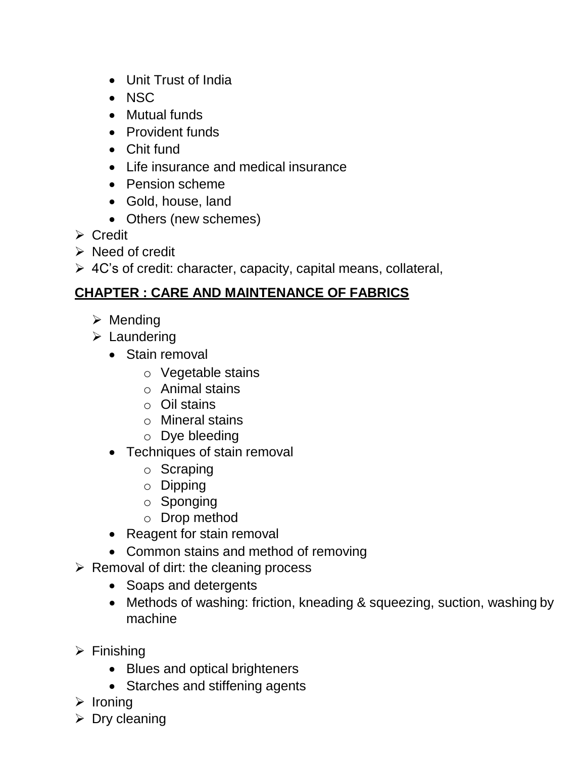- Unit Trust of India
- $\bullet$  NSC
- Mutual funds
- Provident funds
- Chit fund
- Life insurance and medical insurance
- Pension scheme
- Gold, house, land
- Others (new schemes)
- $\triangleright$  Credit
- $\triangleright$  Need of credit
- $\triangleright$  4C's of credit: character, capacity, capital means, collateral,

## **CHAPTER : CARE AND MAINTENANCE OF FABRICS**

- $\triangleright$  Mending
- $\triangleright$  Laundering
	- Stain removal
		- o Vegetable stains
		- o Animal stains
		- o Oil stains
		- o Mineral stains
		- o Dye bleeding
	- Techniques of stain removal
		- o Scraping
		- o Dipping
		- o Sponging
		- o Drop method
	- Reagent for stain removal
	- Common stains and method of removing
- $\triangleright$  Removal of dirt: the cleaning process
	- Soaps and detergents
	- Methods of washing: friction, kneading & squeezing, suction, washing by machine
- $\triangleright$  Finishing
	- Blues and optical brighteners
	- Starches and stiffening agents
- $\triangleright$  Ironing
- $\triangleright$  Dry cleaning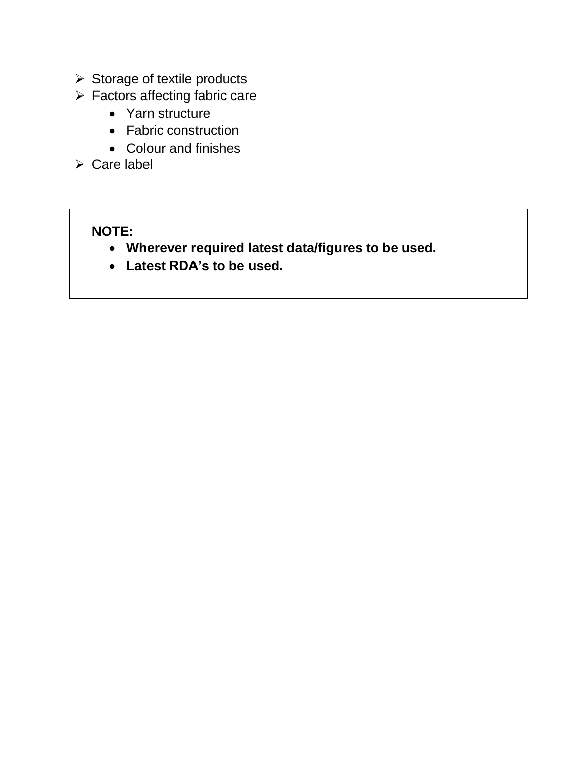- $\triangleright$  Storage of textile products
- $\triangleright$  Factors affecting fabric care
	- Yarn structure
	- Fabric construction
	- Colour and finishes
- $\triangleright$  Care label

# **NOTE:**

- **Wherever required latest data/figures to be used.**
- **Latest RDA's to be used.**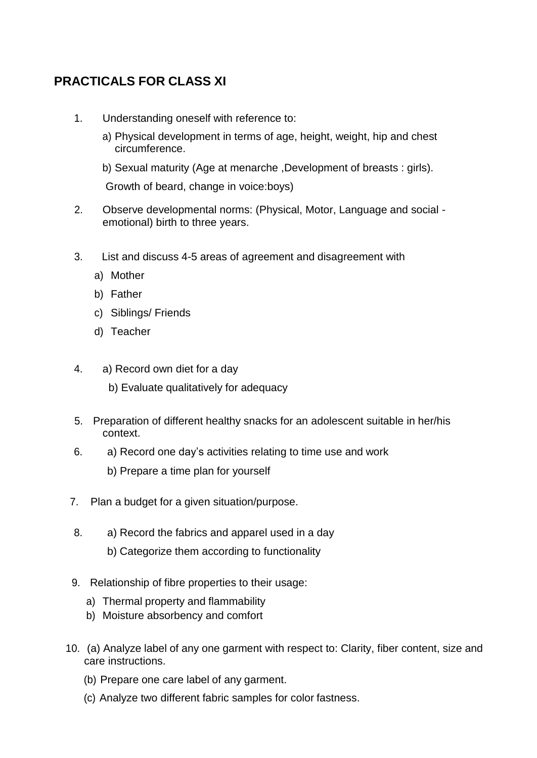## **PRACTICALS FOR CLASS XI**

- 1. Understanding oneself with reference to:
	- a) Physical development in terms of age, height, weight, hip and chest circumference.
	- b) Sexual maturity (Age at menarche ,Development of breasts : girls).

Growth of beard, change in voice:boys)

- 2. Observe developmental norms: (Physical, Motor, Language and social emotional) birth to three years.
- 3. List and discuss 4-5 areas of agreement and disagreement with
	- a) Mother
	- b) Father
	- c) Siblings/ Friends
	- d) Teacher
- 4. a) Record own diet for a day
	- b) Evaluate qualitatively for adequacy
- 5. Preparation of different healthy snacks for an adolescent suitable in her/his context.
- 6. a) Record one day's activities relating to time use and work
	- b) Prepare a time plan for yourself
- 7. Plan a budget for a given situation/purpose.
- 8. a) Record the fabrics and apparel used in a day
	- b) Categorize them according to functionality
- 9. Relationship of fibre properties to their usage:
	- a) Thermal property and flammability
	- b) Moisture absorbency and comfort
- 10. (a) Analyze label of any one garment with respect to: Clarity, fiber content, size and care instructions.
	- (b) Prepare one care label of any garment.
	- (c) Analyze two different fabric samples for color fastness.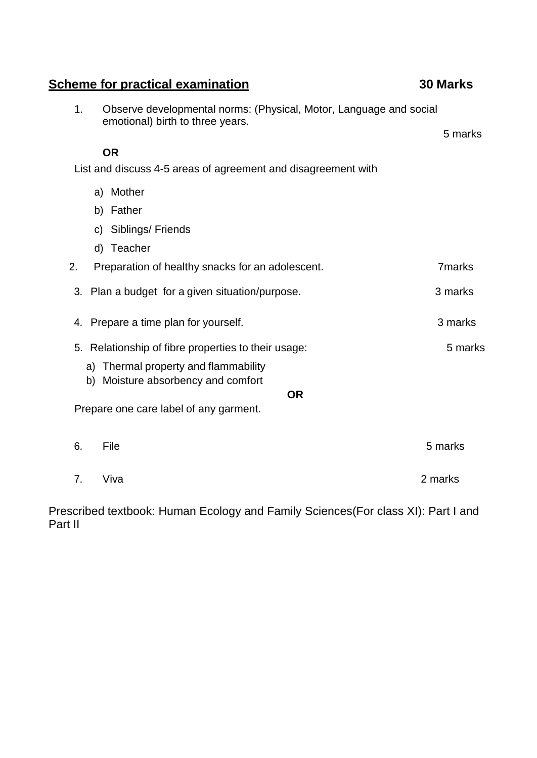| 1. | Observe developmental norms: (Physical, Motor, Language and social<br>emotional) birth to three years. |               |
|----|--------------------------------------------------------------------------------------------------------|---------------|
|    |                                                                                                        | 5 marks       |
|    | <b>OR</b><br>List and discuss 4-5 areas of agreement and disagreement with                             |               |
|    |                                                                                                        |               |
|    | a) Mother                                                                                              |               |
|    | b) Father                                                                                              |               |
|    | Siblings/Friends<br>C)                                                                                 |               |
|    | d) Teacher                                                                                             |               |
| 2. | Preparation of healthy snacks for an adolescent.                                                       | <b>7marks</b> |
| 3. | Plan a budget for a given situation/purpose.                                                           | 3 marks       |
| 4. | Prepare a time plan for yourself.                                                                      | 3 marks       |
| 5. | Relationship of fibre properties to their usage:                                                       | 5 marks       |
|    | a) Thermal property and flammability<br>b) Moisture absorbency and comfort                             |               |
|    | <b>OR</b>                                                                                              |               |
|    | Prepare one care label of any garment.                                                                 |               |
|    |                                                                                                        |               |
| 6. | File                                                                                                   | 5 marks       |
| 7. | Viva                                                                                                   | 2 marks       |

Prescribed textbook: Human Ecology and Family Sciences(For class XI): Part I and Part II

## **Scheme for practical examination 30 Marks**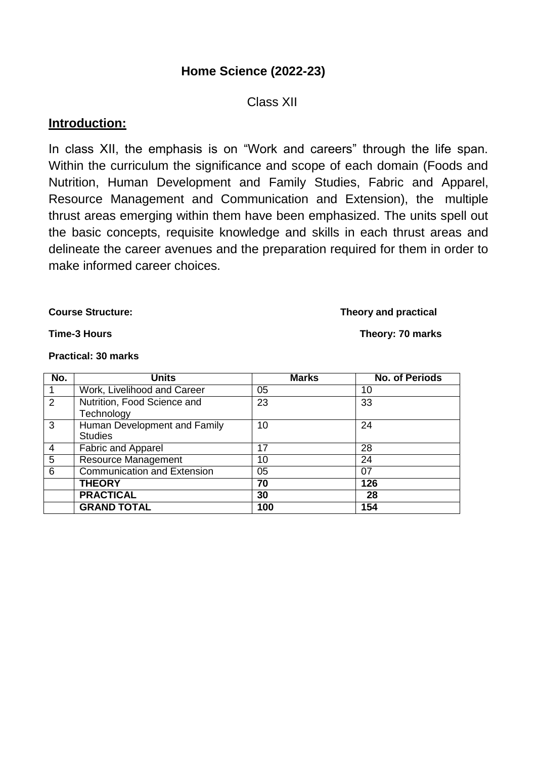## **Home Science (2022-23)**

### Class XII

### **Introduction:**

In class XII, the emphasis is on "Work and careers" through the life span. Within the curriculum the significance and scope of each domain (Foods and Nutrition, Human Development and Family Studies, Fabric and Apparel, Resource Management and Communication and Extension), the multiple thrust areas emerging within them have been emphasized. The units spell out the basic concepts, requisite knowledge and skills in each thrust areas and delineate the career avenues and the preparation required for them in order to make informed career choices.

#### **Course Structure: Theory and practical**

#### **Practical: 30 marks**

| No.            | <b>Units</b>                 | <b>Marks</b> | <b>No. of Periods</b> |
|----------------|------------------------------|--------------|-----------------------|
| -1             | Work, Livelihood and Career  | 05           | 10                    |
| 2              | Nutrition, Food Science and  | 23           | 33                    |
|                | Technology                   |              |                       |
| $\overline{3}$ | Human Development and Family | 10           | 24                    |
|                | <b>Studies</b>               |              |                       |
| -4             | <b>Fabric and Apparel</b>    | 17           | 28                    |
| $\overline{5}$ | <b>Resource Management</b>   | 10           | 24                    |
| 6              | Communication and Extension  | 05           | 07                    |
|                | <b>THEORY</b>                | 70           | 126                   |
|                | <b>PRACTICAL</b>             | 30           | 28                    |
|                | <b>GRAND TOTAL</b>           | 100          | 154                   |

### **Time-3 Hours Theory: 70 marks**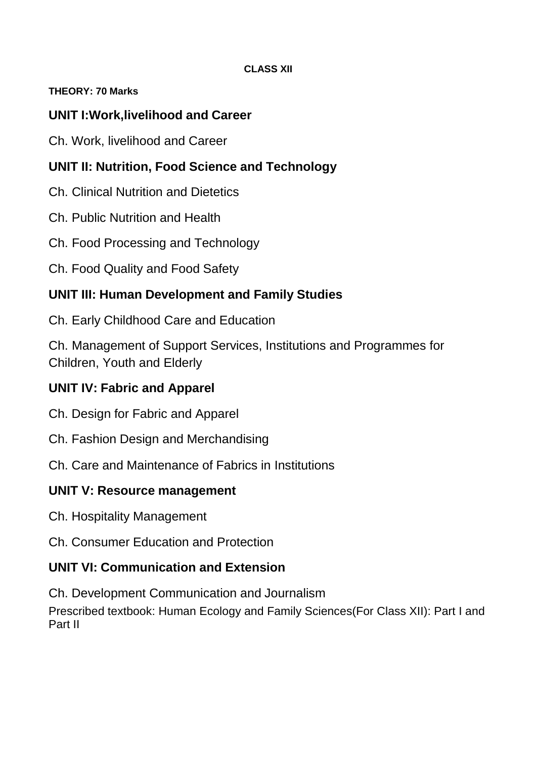### **CLASS XII**

### **THEORY: 70 Marks**

## **UNIT I:Work,livelihood and Career**

Ch. Work, livelihood and Career

## **UNIT II: Nutrition, Food Science and Technology**

Ch. Clinical Nutrition and Dietetics

Ch. Public Nutrition and Health

Ch. Food Processing and Technology

Ch. Food Quality and Food Safety

## **UNIT III: Human Development and Family Studies**

Ch. Early Childhood Care and Education

Ch. Management of Support Services, Institutions and Programmes for Children, Youth and Elderly

## **UNIT IV: Fabric and Apparel**

Ch. Design for Fabric and Apparel

Ch. Fashion Design and Merchandising

Ch. Care and Maintenance of Fabrics in Institutions

## **UNIT V: Resource management**

Ch. Hospitality Management

Ch. Consumer Education and Protection

## **UNIT VI: Communication and Extension**

Ch. Development Communication and Journalism

Prescribed textbook: Human Ecology and Family Sciences(For Class XII): Part I and Part II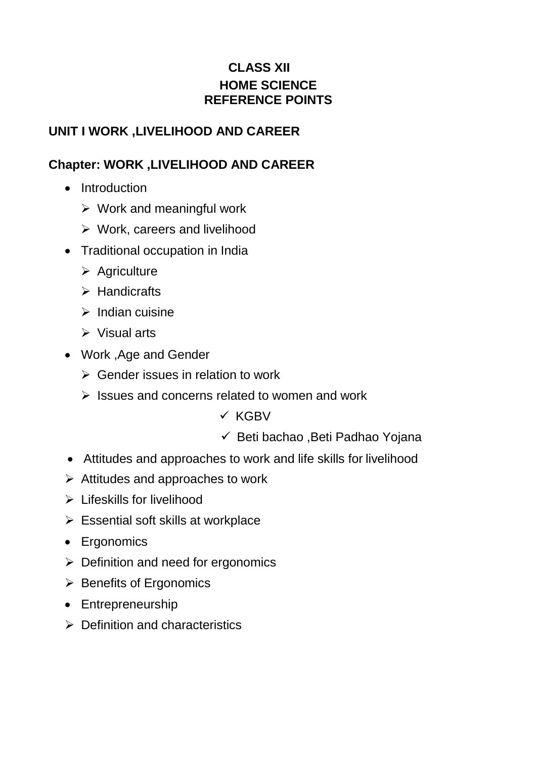## **CLASS XII HOME SCIENCE REFERENCE POINTS**

## **UNIT I WORK ,LIVELIHOOD AND CAREER**

## **Chapter: WORK ,LIVELIHOOD AND CAREER**

- Introduction
	- $\triangleright$  Work and meaningful work
	- $\triangleright$  Work, careers and livelihood
- Traditional occupation in India
	- $\triangleright$  Agriculture
	- $\triangleright$  Handicrafts
	- $\triangleright$  Indian cuisine
	- $\triangleright$  Visual arts
- Work ,Age and Gender
	- $\triangleright$  Gender issues in relation to work
	- $\triangleright$  Issues and concerns related to women and work
		- $\times$  KGBV
		- $\checkmark$  Beti bachao , Beti Padhao Yojana
- Attitudes and approaches to work and life skills for livelihood
- $\triangleright$  Attitudes and approaches to work
- $\triangleright$  Lifeskills for livelihood
- $\triangleright$  Essential soft skills at workplace
- Ergonomics
- $\triangleright$  Definition and need for ergonomics
- $\triangleright$  Benefits of Ergonomics
- Entrepreneurship
- $\triangleright$  Definition and characteristics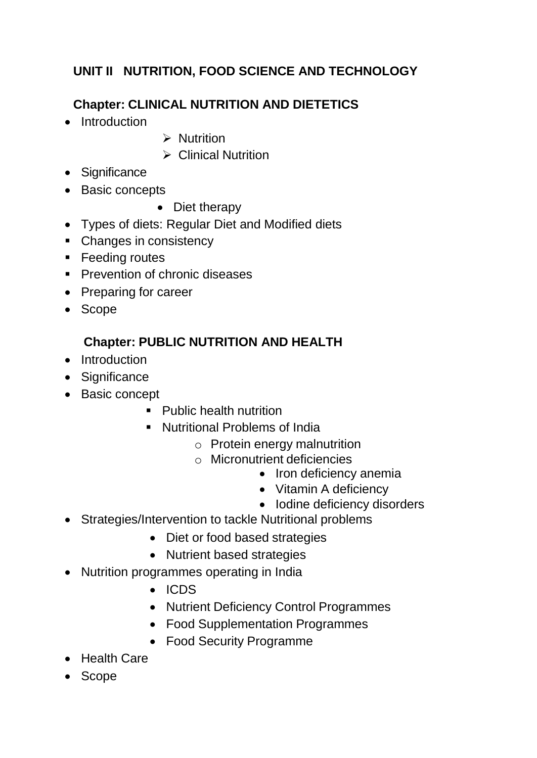# **UNIT II NUTRITION, FOOD SCIENCE AND TECHNOLOGY**

# **Chapter: CLINICAL NUTRITION AND DIETETICS**

- Introduction
- $\triangleright$  Nutrition
- $\triangleright$  Clinical Nutrition
- Significance
- Basic concepts
	- Diet therapy
- Types of diets: Regular Diet and Modified diets
- Changes in consistency
- **Feeding routes**
- **Prevention of chronic diseases**
- Preparing for career
- Scope

## **Chapter: PUBLIC NUTRITION AND HEALTH**

- Introduction
- Significance
- Basic concept
	- Public health nutrition
	- **Nutritional Problems of India** 
		- o Protein energy malnutrition
		- o Micronutrient deficiencies
			- Iron deficiency anemia
			- Vitamin A deficiency
			- Iodine deficiency disorders
- Strategies/Intervention to tackle Nutritional problems
	- Diet or food based strategies
	- Nutrient based strategies
- Nutrition programmes operating in India
	- ICDS
	- Nutrient Deficiency Control Programmes
	- Food Supplementation Programmes
	- Food Security Programme
- Health Care
- Scope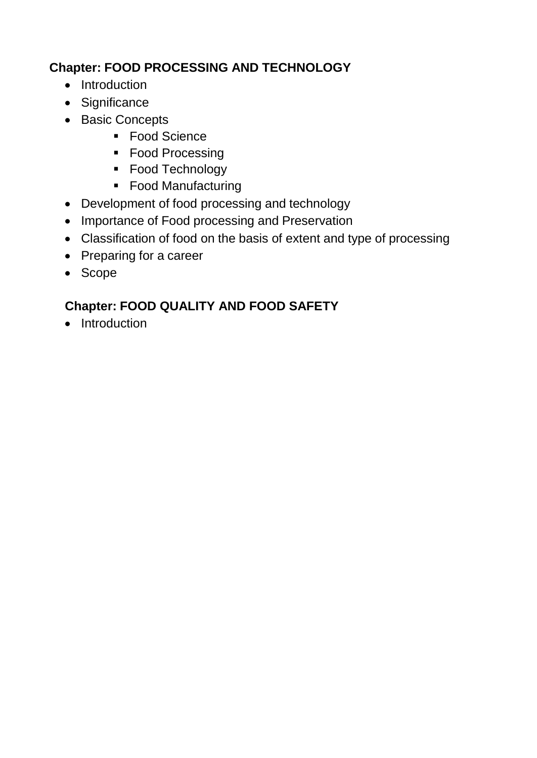# **Chapter: FOOD PROCESSING AND TECHNOLOGY**

- Introduction
- Significance
- Basic Concepts
	- Food Science
	- Food Processing
	- Food Technology
	- Food Manufacturing
- Development of food processing and technology
- Importance of Food processing and Preservation
- Classification of food on the basis of extent and type of processing
- Preparing for a career
- Scope

# **Chapter: FOOD QUALITY AND FOOD SAFETY**

• Introduction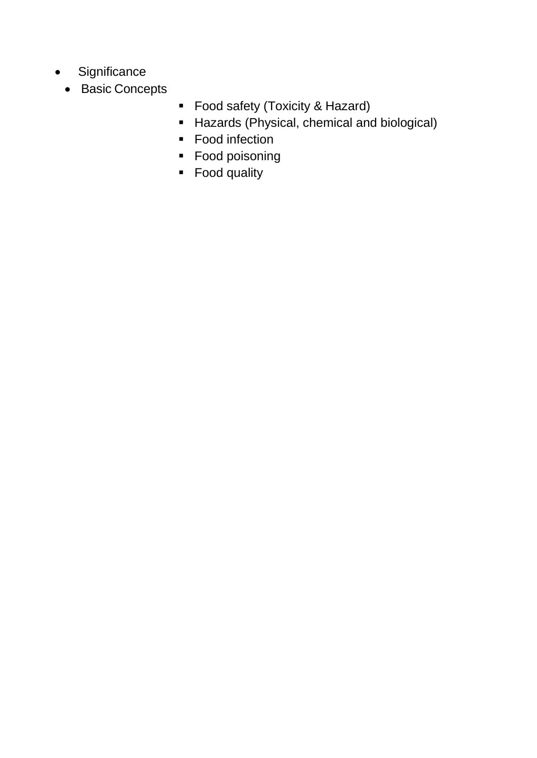- Significance
	- Basic Concepts
- **Food safety (Toxicity & Hazard)**
- **Hazards (Physical, chemical and biological)**
- Food infection
- **Food poisoning**
- Food quality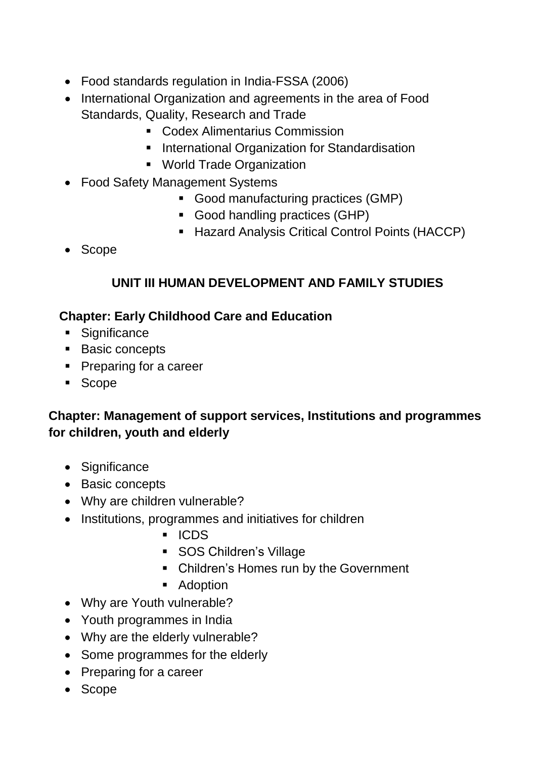- Food standards regulation in India-FSSA (2006)
- International Organization and agreements in the area of Food Standards, Quality, Research and Trade
	- **Codex Alimentarius Commission**
	- **International Organization for Standardisation**
	- World Trade Organization
- Food Safety Management Systems
	- Good manufacturing practices (GMP)
	- Good handling practices (GHP)
	- **Hazard Analysis Critical Control Points (HACCP)**
- Scope

## **UNIT III HUMAN DEVELOPMENT AND FAMILY STUDIES**

## **Chapter: Early Childhood Care and Education**

- **Significance**
- **Basic concepts**
- **Preparing for a career**
- Scope

## **Chapter: Management of support services, Institutions and programmes for children, youth and elderly**

- Significance
- Basic concepts
- Why are children vulnerable?
- Institutions, programmes and initiatives for children
	- ICDS
	- **SOS Children's Village**
	- Children's Homes run by the Government
	- **Adoption**
- Why are Youth vulnerable?
- Youth programmes in India
- Why are the elderly vulnerable?
- Some programmes for the elderly
- Preparing for a career
- Scope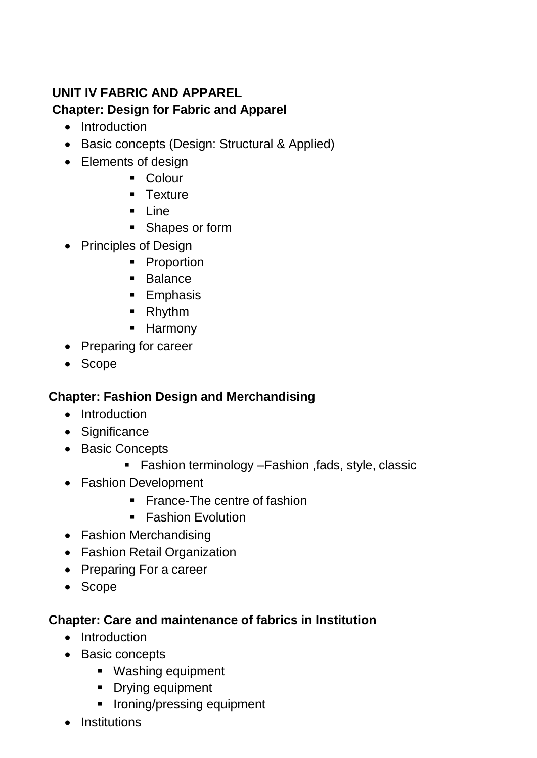# **UNIT IV FABRIC AND APPAREL Chapter: Design for Fabric and Apparel**

- Introduction
- Basic concepts (Design: Structural & Applied)
- Elements of design
	- **Colour**
	- **Texture**
	- $\blacksquare$  Line
	- **Shapes or form**
- Principles of Design
	- Proportion
	- **Balance**
	- **Emphasis**
	- Rhythm
	- **Harmony**
- Preparing for career
- Scope

## **Chapter: Fashion Design and Merchandising**

- Introduction
- Significance
- Basic Concepts
	- Fashion terminology Fashion , fads, style, classic
- Fashion Development
	- France-The centre of fashion
	- **Fashion Evolution**
- Fashion Merchandising
- Fashion Retail Organization
- Preparing For a career
- Scope

## **Chapter: Care and maintenance of fabrics in Institution**

- Introduction
- Basic concepts
	- **Washing equipment**
	- **•** Drying equipment
	- **IF Ironing/pressing equipment**
- Institutions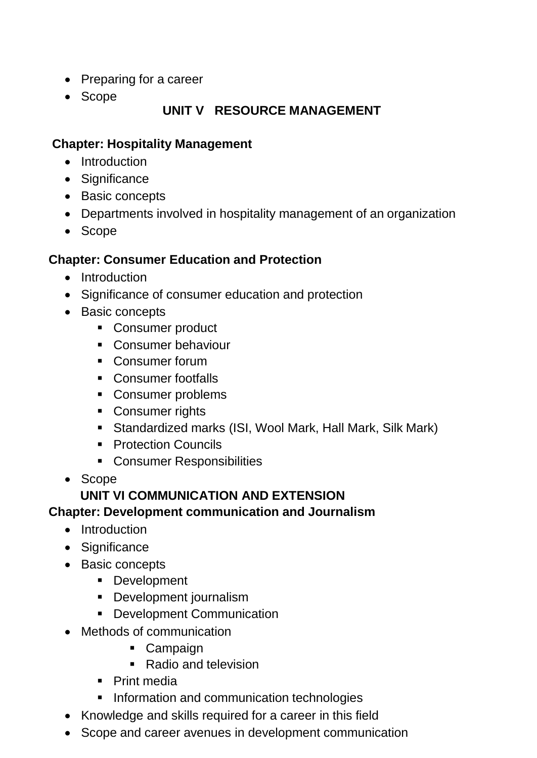- Preparing for a career
- Scope

## **UNIT V RESOURCE MANAGEMENT**

## **Chapter: Hospitality Management**

- Introduction
- Significance
- Basic concepts
- Departments involved in hospitality management of an organization
- Scope

## **Chapter: Consumer Education and Protection**

- Introduction
- Significance of consumer education and protection
- Basic concepts
	- **Consumer product**
	- Consumer behaviour
	- **Consumer forum**
	- Consumer footfalls
	- Consumer problems
	- **Consumer rights**
	- Standardized marks (ISI, Wool Mark, Hall Mark, Silk Mark)
	- **Protection Councils**
	- **Consumer Responsibilities**
- Scope

## **UNIT VI COMMUNICATION AND EXTENSION**

## **Chapter: Development communication and Journalism**

- Introduction
- Significance
- Basic concepts
	- **Development**
	- **Development journalism**
	- **Development Communication**
- Methods of communication
	- Campaign
	- Radio and television
	- Print media
	- **Information and communication technologies**
- Knowledge and skills required for a career in this field
- Scope and career avenues in development communication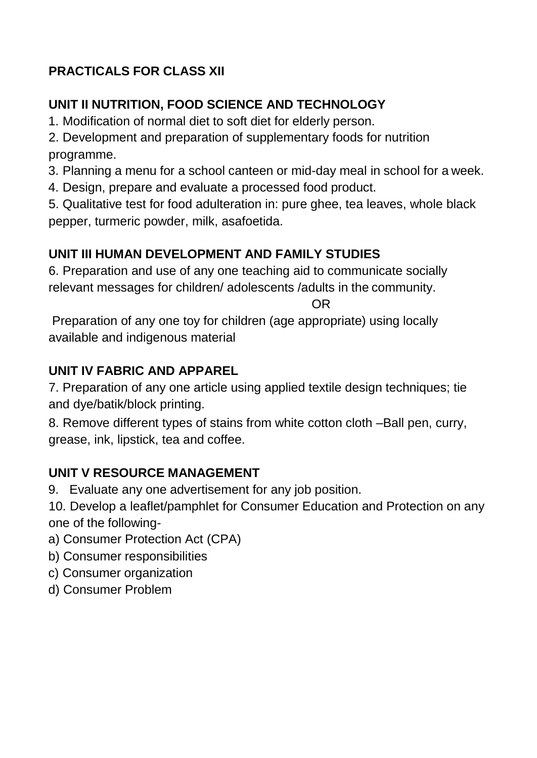# **PRACTICALS FOR CLASS XII**

# **UNIT II NUTRITION, FOOD SCIENCE AND TECHNOLOGY**

1. Modification of normal diet to soft diet for elderly person.

2. Development and preparation of supplementary foods for nutrition programme.

3. Planning a menu for a school canteen or mid-day meal in school for a week.

4. Design, prepare and evaluate a processed food product.

5. Qualitative test for food adulteration in: pure ghee, tea leaves, whole black pepper, turmeric powder, milk, asafoetida.

# **UNIT III HUMAN DEVELOPMENT AND FAMILY STUDIES**

6. Preparation and use of any one teaching aid to communicate socially relevant messages for children/ adolescents /adults in the community.

OR

Preparation of any one toy for children (age appropriate) using locally available and indigenous material

# **UNIT IV FABRIC AND APPAREL**

7. Preparation of any one article using applied textile design techniques; tie and dye/batik/block printing.

8. Remove different types of stains from white cotton cloth –Ball pen, curry, grease, ink, lipstick, tea and coffee.

# **UNIT V RESOURCE MANAGEMENT**

9. Evaluate any one advertisement for any job position.

10. Develop a leaflet/pamphlet for Consumer Education and Protection on any one of the following-

- a) Consumer Protection Act (CPA)
- b) Consumer responsibilities
- c) Consumer organization
- d) Consumer Problem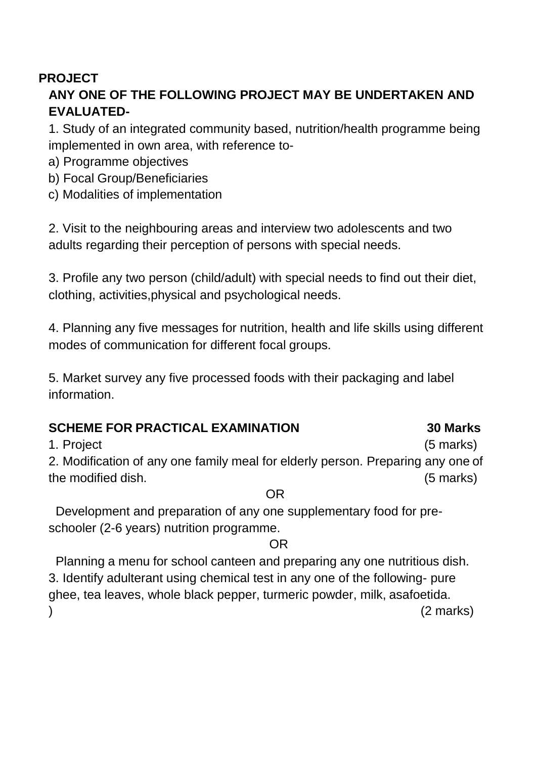## **PROJECT ANY ONE OF THE FOLLOWING PROJECT MAY BE UNDERTAKEN AND EVALUATED-**

1. Study of an integrated community based, nutrition/health programme being implemented in own area, with reference to-

- a) Programme objectives
- b) Focal Group/Beneficiaries
- c) Modalities of implementation

2. Visit to the neighbouring areas and interview two adolescents and two adults regarding their perception of persons with special needs.

3. Profile any two person (child/adult) with special needs to find out their diet, clothing, activities,physical and psychological needs.

4. Planning any five messages for nutrition, health and life skills using different modes of communication for different focal groups.

5. Market survey any five processed foods with their packaging and label information.

## **SCHEME FOR PRACTICAL EXAMINATION 30 Marks**

1. Project (5 marks)

2. Modification of any one family meal for elderly person. Preparing any one of the modified dish. (5 marks)

OR

Development and preparation of any one supplementary food for preschooler (2-6 years) nutrition programme.

## OR

Planning a menu for school canteen and preparing any one nutritious dish. 3. Identify adulterant using chemical test in any one of the following- pure ghee, tea leaves, whole black pepper, turmeric powder, milk, asafoetida.  $(2 \text{ marks})$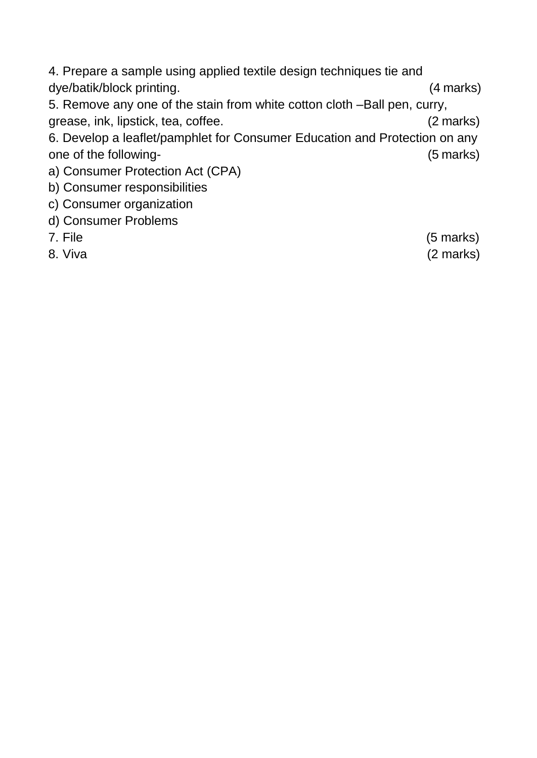4. Prepare a sample using applied textile design techniques tie and dye/batik/block printing. (4 marks) 5. Remove any one of the stain from white cotton cloth –Ball pen, curry, grease, ink, lipstick, tea, coffee. (2 marks) 6. Develop a leaflet/pamphlet for Consumer Education and Protection on any one of the following-<br>
(5 marks) a) Consumer Protection Act (CPA) b) Consumer responsibilities c) Consumer organization d) Consumer Problems

- 
- 8. Viva (2 marks)

7. File (5 marks)